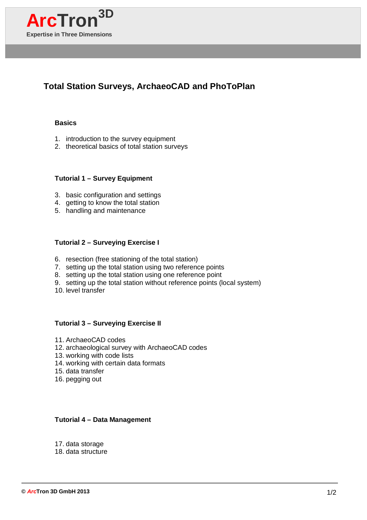

# **Total Station Surveys, ArchaeoCAD and PhoToPlan**

#### **Basics**

- 1. introduction to the survey equipment
- 2. theoretical basics of total station surveys

# **Tutorial 1 – Survey Equipment**

- 3. basic configuration and settings
- 4. getting to know the total station
- 5. handling and maintenance

### **Tutorial 2 – Surveying Exercise I**

- 6. resection (free stationing of the total station)
- 7. setting up the total station using two reference points
- 8. setting up the total station using one reference point
- 9. setting up the total station without reference points (local system)
- 10. level transfer

## **Tutorial 3 – Surveying Exercise II**

- 11. ArchaeoCAD codes
- 12. archaeological survey with ArchaeoCAD codes
- 13. working with code lists
- 14. working with certain data formats
- 15. data transfer
- 16. pegging out

## **Tutorial 4 – Data Management**

- 17. data storage
- 18. data structure